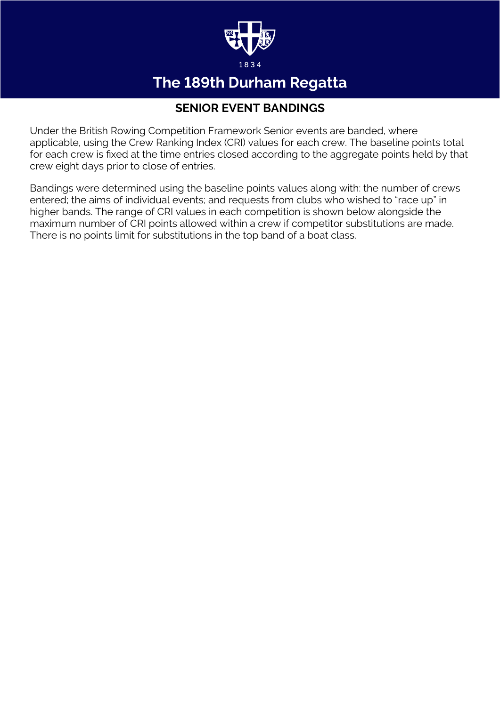

### The 189th Durham Regatta

#### **SENIOR EVENT BANDINGS**

Under the British Rowing Competition Framework Senior events are banded, where applicable, using the Crew Ranking Index (CRI) values for each crew. The baseline points total for each crew is fixed at the time entries closed according to the aggregate points held by that crew eight days prior to close of entries.

Bandings were determined using the baseline points values along with: the number of crews entered; the aims of individual events; and requests from clubs who wished to "race up" in higher bands. The range of CRI values in each competition is shown below alongside the maximum number of CRI points allowed within a crew if competitor substitutions are made. There is no points limit for substitutions in the top band of a boat class.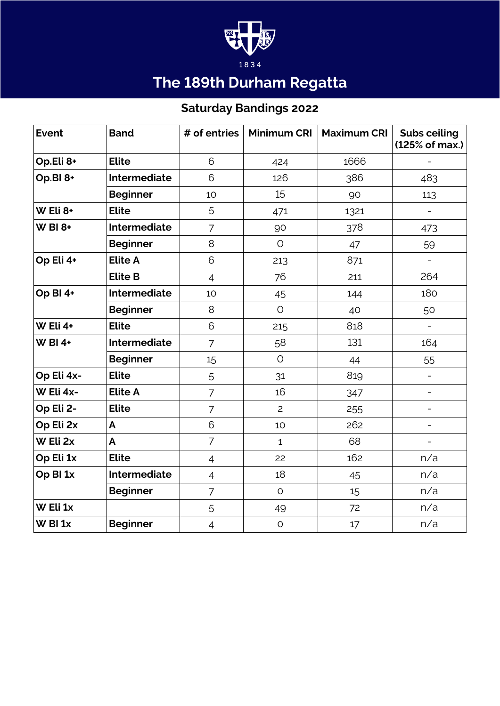

# The 189th Durham Regatta

### **Saturday Bandings 2022**

| <b>Event</b>        | <b>Band</b>         | # of entries   | <b>Minimum CRI</b> | <b>Maximum CRI</b> | <b>Subs ceiling</b><br>(125% of max.) |
|---------------------|---------------------|----------------|--------------------|--------------------|---------------------------------------|
| Op.Eli 8+           | <b>Elite</b>        | 6              | 424                | 1666               |                                       |
| Op.BI 8+            | <b>Intermediate</b> | 6              | 126                | 386                | 483                                   |
|                     | <b>Beginner</b>     | 10             | 15                 | 90                 | 113                                   |
| W Eli 8+            | <b>Elite</b>        | 5              | 471                | 1321               | $\overline{\phantom{0}}$              |
| <b>W BI 8+</b>      | Intermediate        | $\overline{7}$ | 90                 | 378                | 473                                   |
|                     | <b>Beginner</b>     | 8              | $\circ$            | 47                 | 59                                    |
| Op Eli 4+           | <b>Elite A</b>      | 6              | 213                | 871                | $\overline{\phantom{0}}$              |
|                     | <b>Elite B</b>      | $\overline{4}$ | 76                 | 211                | 264                                   |
| Op BI 4+            | Intermediate        | 10             | 45                 | 144                | 180                                   |
|                     | <b>Beginner</b>     | 8              | $\circ$            | 40                 | 50                                    |
| W Eli 4+            | <b>Elite</b>        | 6              | 215                | 818                | $\overline{\phantom{a}}$              |
| $W$ BI 4+           | <b>Intermediate</b> | $\overline{7}$ | 58                 | 131                | 164                                   |
|                     | <b>Beginner</b>     | 15             | $\circ$            | 44                 | 55                                    |
| Op Eli 4x-          | <b>Elite</b>        | 5              | 31                 | 819                | $\overline{\phantom{a}}$              |
| W Eli 4x-           | <b>Elite A</b>      | $\overline{7}$ | 16                 | 347                | $\overline{\phantom{0}}$              |
| Op Eli 2-           | <b>Elite</b>        | $\overline{7}$ | $\overline{2}$     | 255                | $\qquad \qquad -$                     |
| Op Eli 2x           | A                   | 6              | 10                 | 262                | $\overline{\phantom{a}}$              |
| W Eli 2x            | $\overline{A}$      | $\overline{7}$ | $\mathbf{1}$       | 68                 | $\overline{\phantom{a}}$              |
| Op Eli 1x           | <b>Elite</b>        | $\overline{4}$ | 22                 | 162                | n/a                                   |
| Op BI <sub>1x</sub> | Intermediate        | $\overline{4}$ | 18                 | 45                 | n/a                                   |
|                     | <b>Beginner</b>     | $\overline{7}$ | $\circ$            | 15                 | n/a                                   |
| W Eli 1x            |                     | 5              | 49                 | 72                 | n/a                                   |
| $W$ BI $1x$         | <b>Beginner</b>     | $\overline{4}$ | $\circ$            | 17                 | n/a                                   |